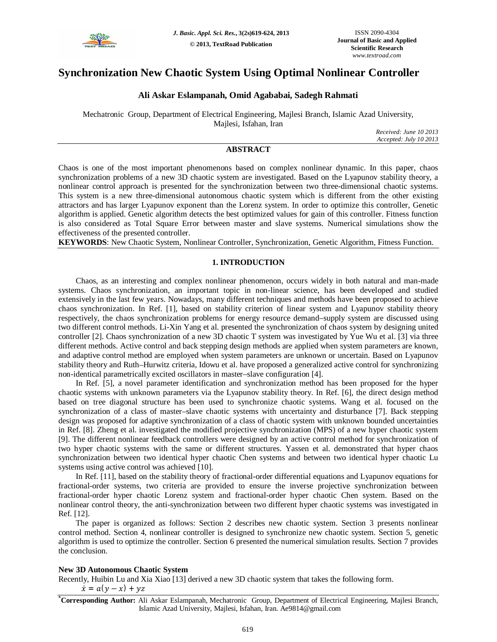

# **Synchronization New Chaotic System Using Optimal Nonlinear Controller**

## **Ali Askar Eslampanah, Omid Agababai, Sadegh Rahmati**

Mechatronic Group, Department of Electrical Engineering, Majlesi Branch, Islamic Azad University, Majlesi, Isfahan, Iran

*Received: June 10 2013 Accepted: July 10 2013*

## **ABSTRACT**

Chaos is one of the most important phenomenons based on complex nonlinear dynamic. In this paper, chaos synchronization problems of a new 3D chaotic system are investigated. Based on the Lyapunov stability theory, a nonlinear control approach is presented for the synchronization between two three-dimensional chaotic systems. This system is a new three-dimensional autonomous chaotic system which is different from the other existing attractors and has larger Lyapunov exponent than the Lorenz system. In order to optimize this controller, Genetic algorithm is applied. Genetic algorithm detects the best optimized values for gain of this controller. Fitness function is also considered as Total Square Error between master and slave systems. Numerical simulations show the effectiveness of the presented controller.

**KEYWORDS**: New Chaotic System, Nonlinear Controller, Synchronization, Genetic Algorithm, Fitness Function.

## **1. INTRODUCTION**

Chaos, as an interesting and complex nonlinear phenomenon, occurs widely in both natural and man-made systems. Chaos synchronization, an important topic in non-linear science, has been developed and studied extensively in the last few years. Nowadays, many different techniques and methods have been proposed to achieve chaos synchronization. In Ref. [1], based on stability criterion of linear system and Lyapunov stability theory respectively, the chaos synchronization problems for energy resource demand–supply system are discussed using two different control methods. Li-Xin Yang et al. presented the synchronization of chaos system by designing united controller [2]. Chaos synchronization of a new 3D chaotic T system was investigated by Yue Wu et al. [3] via three different methods. Active control and back stepping design methods are applied when system parameters are known, and adaptive control method are employed when system parameters are unknown or uncertain. Based on Lyapunov stability theory and Ruth–Hurwitz criteria, Idowu et al. have proposed a generalized active control for synchronizing non-identical parametrically excited oscillators in master–slave configuration [4].

In Ref. [5], a novel parameter identification and synchronization method has been proposed for the hyper chaotic systems with unknown parameters via the Lyapunov stability theory. In Ref. [6], the direct design method based on tree diagonal structure has been used to synchronize chaotic systems. Wang et al. focused on the synchronization of a class of master–slave chaotic systems with uncertainty and disturbance [7]. Back stepping design was proposed for adaptive synchronization of a class of chaotic system with unknown bounded uncertainties in Ref. [8]. Zheng et al. investigated the modified projective synchronization (MPS) of a new hyper chaotic system [9]. The different nonlinear feedback controllers were designed by an active control method for synchronization of two hyper chaotic systems with the same or different structures. Yassen et al. demonstrated that hyper chaos synchronization between two identical hyper chaotic Chen systems and between two identical hyper chaotic Lu systems using active control was achieved [10].

In Ref. [11], based on the stability theory of fractional-order differential equations and Lyapunov equations for fractional-order systems, two criteria are provided to ensure the inverse projective synchronization between fractional-order hyper chaotic Lorenz system and fractional-order hyper chaotic Chen system. Based on the nonlinear control theory, the anti-synchronization between two different hyper chaotic systems was investigated in Ref. [12].

The paper is organized as follows: Section 2 describes new chaotic system. Section 3 presents nonlinear control method. Section 4, nonlinear controller is designed to synchronize new chaotic system. Section 5, genetic algorithm is used to optimize the controller. Section 6 presented the numerical simulation results. Section 7 provides the conclusion.

### **New 3D Autonomous Chaotic System**

Recently, Huibin Lu and Xia Xiao [13] derived a new 3D chaotic system that takes the following form.

 $\dot{x} = a(y - x) + yz$ 

**\*Corresponding Author:** Ali Askar Eslampanah, Mechatronic Group, Department of Electrical Engineering, Majlesi Branch, Islamic Azad University, Majlesi, Isfahan, Iran. Ae9814@gmail.com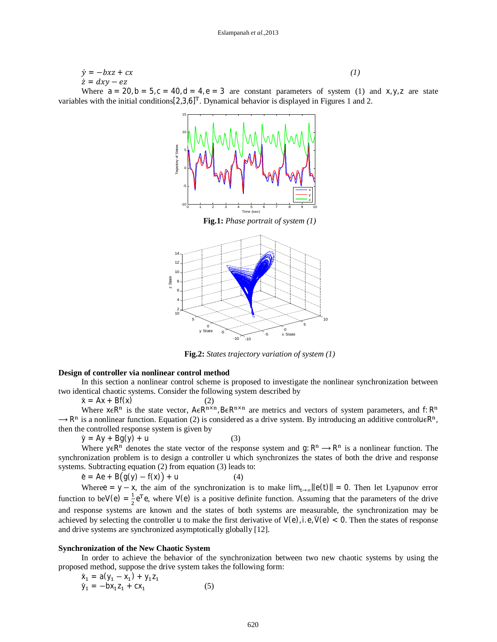$$
\dot{y} = -bxz + cx
$$
\n
$$
\dot{z} = dxy - ez
$$
\nWhere  $a = 20$ ,  $b = 5$ ,  $c = 40$ ,  $d = 4$ ,  $e = 3$  are constant parameters of system (1) and x, y, z are state

variables with the initial conditions  $[2,3,6]$ <sup>T</sup>. Dynamical behavior is displayed in Figures 1 and 2. **Fig.1:** *Phase portrait of system (1)* 0 1 2 3 4 5 6 7 8 9 10 -10 -5 5 10 15 Time (sec) Trajectory of States x y z -5 0 x State 5 10 -10 -5 0 5 10 2 4 6 8 10 12 14 y State z State

**Fig.2:** *States trajectory variation of system (1)*

#### **Design of controller via nonlinear control method**

In this section a nonlinear control scheme is proposed to investigate the nonlinear synchronization between two identical chaotic systems. Consider the following system described by

-10

 $\dot{x} = Ax + Bf(x)$  (2)

Where  $x \in R^n$  is the state vector,  $A \in R^{n \times n}$ ,  $B \in R^{n \times n}$  are metrics and vectors of system parameters, and f:  $R^n$  $\rightarrow$  R<sup>n</sup> is a nonlinear function. Equation (2) is considered as a drive system. By introducing an additive controlu $\epsilon$ R<sup>n</sup>, then the controlled response system is given by

$$
\dot{y} = Ay + Bg(y) + u \tag{3}
$$

Where  $y \in R^n$  denotes the state vector of the response system and g:  $R^n \to R^n$  is a nonlinear function. The synchronization problem is to design a controller u which synchronizes the states of both the drive and response systems. Subtracting equation (2) from equation (3) leads to:

 $\dot{e} = Ae + B(g(y) - f(x)) + u$  (4)

Wheree = y − x, the aim of the synchronization is to make  $\lim_{t\to\infty} ||e(t)|| = 0$ . Then let Lyapunov error function to beV(e) =  $\frac{1}{2}$  $\frac{1}{2}e^{T}e$ , where V(e) is a positive definite function. Assuming that the parameters of the drive and response systems are known and the states of both systems are measurable, the synchronization may be achieved by selecting the controller u to make the first derivative of  $V(e)$ , i.e,  $\dot{V}(e) < 0$ . Then the states of response and drive systems are synchronized asymptotically globally [12].

### **Synchronization of the New Chaotic System**

In order to achieve the behavior of the synchronization between two new chaotic systems by using the proposed method, suppose the drive system takes the following form:

$$
\dot{x}_1 = a(y_1 - x_1) + y_1 z_1 \n\dot{y}_1 = -bx_1 z_1 + cx_1
$$
\n(5)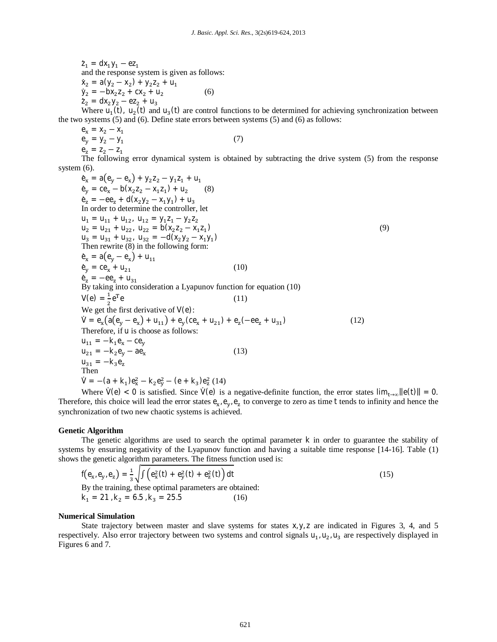$\dot{z}_1 = dx_1 y_1 - e z_1$ and the response system is given as follows:  $\dot{x}_2 = a(y_2 - x_2) + y_2 z_2 + u_1$  $\dot{y}_2 = -bx_2z_2 + cx_2 + u_2$ (6)  $\dot{z}_2 = dx_2 y_2 - e z_2 + u_3$ 

Where  $u_1(t)$ ,  $u_2(t)$  and  $u_3(t)$  are control functions to be determined for achieving synchronization between the two systems (5) and (6). Define state errors between systems (5) and (6) as follows:

$$
e_x = x_2 - x_1e_y = y_2 - y_1e_z = z_2 - z_1
$$
 (7)

The following error dynamical system is obtained by subtracting the drive system (5) from the response system (6).

$$
e_x = a(e_y - e_x) + y_2z_2 - y_1z_1 + u_1
$$
  
\n
$$
e_y = ce_x - b(x_2z_2 - x_1z_1) + u_2
$$
  
\n
$$
e_z = -ee_z + d(x_2y_2 - x_1y_1) + u_3
$$
  
\nIn order to determine the controller, let  
\n
$$
u_1 = u_{11} + u_{12}, u_{12} = y_1z_1 - y_2z_2
$$
  
\n
$$
u_2 = u_{21} + u_{22}, u_{22} = b(x_2z_2 - x_1z_1)
$$
  
\n
$$
u_3 = u_{31} + u_{32}, u_{32} = -d(x_2y_2 - x_1y_1)
$$
  
\nThen rewrite (8) in the following form:  
\n
$$
e_x = a(e_y - e_x) + u_{11}
$$
  
\n
$$
e_y = ce_x + u_{21}
$$
  
\nBy taking into consideration a Lyapunov function for equation (10)  
\n
$$
V(e) = \frac{1}{2}e^T e
$$
  
\n
$$
V = e_x(a(e_y - e_x) + u_{11}) + e_y(ce_x + u_{21}) + e_z(-ee_z + u_{31})
$$
  
\nTherefore, if u is choose as follows:  
\n
$$
u_{11} = -k_1e_x - ce_y
$$
  
\n
$$
u_{21} = -k_2e_y - ae_x
$$
  
\n
$$
u_{31} = -k_3e_z
$$
  
\nThen  
\n
$$
V = -(a + k_1)e_x^2 - k_2e_y^2 - (e + k_3)e_z^2(14)
$$

Where  $\dot{V}(e) < 0$  is satisfied. Since  $\dot{V}(e)$  is a negative-definite function, the error states  $\lim_{t\to\infty} ||e(t)|| = 0$ . Therefore, this choice will lead the error states  $e_x$ ,  $e_y$ ,  $e_z$  to converge to zero as time t tends to infinity and hence the synchronization of two new chaotic systems is achieved.

#### **Genetic Algorithm**

The genetic algorithms are used to search the optimal parameter k in order to guarantee the stability of systems by ensuring negativity of the Lyapunov function and having a suitable time response [14-16]. Table (1) shows the genetic algorithm parameters. The fitness function used is:

$$
f(e_x, e_y, e_z) = \frac{1}{3} \sqrt{\int (e_x^2(t) + e_y^2(t) + e_z^2(t))} dt
$$
  
By the training, these optimal parameters are obtained:  

$$
k_1 = 21, k_2 = 6.5, k_3 = 25.5
$$
 (16)

#### **Numerical Simulation**

State trajectory between master and slave systems for states  $x, y, z$  are indicated in Figures 3, 4, and 5 respectively. Also error trajectory between two systems and control signals  $u_1, u_2, u_3$  are respectively displayed in Figures 6 and 7.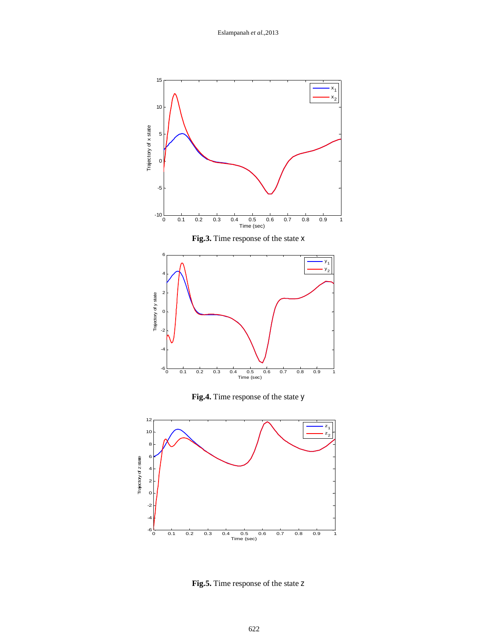



**Fig.5.** Time response of the state z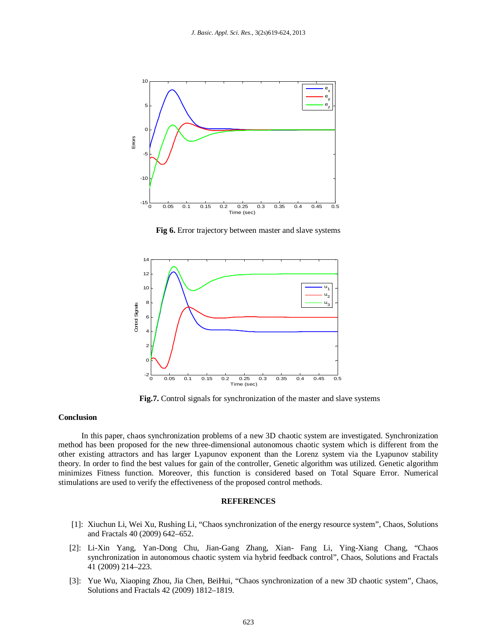

**Fig 6.** Error trajectory between master and slave systems



**Fig.7.** Control signals for synchronization of the master and slave systems

#### **Conclusion**

In this paper, chaos synchronization problems of a new 3D chaotic system are investigated. Synchronization method has been proposed for the new three-dimensional autonomous chaotic system which is different from the other existing attractors and has larger Lyapunov exponent than the Lorenz system via the Lyapunov stability theory. In order to find the best values for gain of the controller, Genetic algorithm was utilized. Genetic algorithm minimizes Fitness function. Moreover, this function is considered based on Total Square Error. Numerical stimulations are used to verify the effectiveness of the proposed control methods.

### **REFERENCES**

- [1]: Xiuchun Li, Wei Xu, Rushing Li, "Chaos synchronization of the energy resource system", Chaos, Solutions and Fractals 40 (2009) 642–652.
- [2]: Li-Xin Yang, Yan-Dong Chu, Jian-Gang Zhang, Xian- Fang Li, Ying-Xiang Chang, "Chaos synchronization in autonomous chaotic system via hybrid feedback control", Chaos, Solutions and Fractals 41 (2009) 214–223.
- [3]: Yue Wu, Xiaoping Zhou, Jia Chen, BeiHui, "Chaos synchronization of a new 3D chaotic system", Chaos, Solutions and Fractals 42 (2009) 1812–1819.